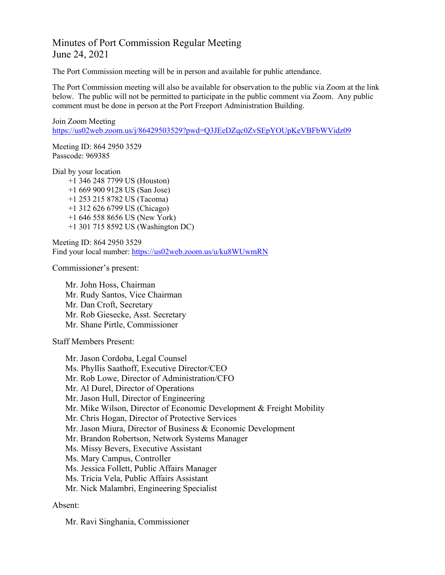## Minutes of Port Commission Regular Meeting June 24, 2021

The Port Commission meeting will be in person and available for public attendance.

The Port Commission meeting will also be available for observation to the public via Zoom at the link below. The public will not be permitted to participate in the public comment via Zoom. Any public comment must be done in person at the Port Freeport Administration Building.

```
Join Zoom Meeting
https://us02web.zoom.us/j/86429503529?pwd=Q3JEeDZqc0ZvSEpYOUpKeVBFbWVidz09
```
Meeting ID: 864 2950 3529 Passcode: 969385

Dial by your location

+1 346 248 7799 US (Houston) +1 669 900 9128 US (San Jose) +1 253 215 8782 US (Tacoma) +1 312 626 6799 US (Chicago) +1 646 558 8656 US (New York) +1 301 715 8592 US (Washington DC)

Meeting ID: 864 2950 3529 Find your local number:<https://us02web.zoom.us/u/ku8WUwmRN>

Commissioner's present:

Mr. John Hoss, Chairman Mr. Rudy Santos, Vice Chairman Mr. Dan Croft, Secretary Mr. Rob Giesecke, Asst. Secretary Mr. Shane Pirtle, Commissioner

Staff Members Present:

Mr. Jason Cordoba, Legal Counsel Ms. Phyllis Saathoff, Executive Director/CEO Mr. Rob Lowe, Director of Administration/CFO Mr. Al Durel, Director of Operations Mr. Jason Hull, Director of Engineering Mr. Mike Wilson, Director of Economic Development & Freight Mobility Mr. Chris Hogan, Director of Protective Services Mr. Jason Miura, Director of Business & Economic Development Mr. Brandon Robertson, Network Systems Manager Ms. Missy Bevers, Executive Assistant Ms. Mary Campus, Controller Ms. Jessica Follett, Public Affairs Manager Ms. Tricia Vela, Public Affairs Assistant Mr. Nick Malambri, Engineering Specialist

## Absent:

Mr. Ravi Singhania, Commissioner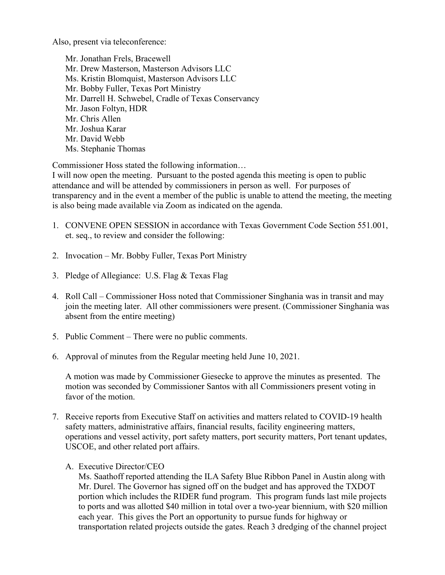Also, present via teleconference:

Mr. Jonathan Frels, Bracewell Mr. Drew Masterson, Masterson Advisors LLC Ms. Kristin Blomquist, Masterson Advisors LLC Mr. Bobby Fuller, Texas Port Ministry Mr. Darrell H. Schwebel, Cradle of Texas Conservancy Mr. Jason Foltyn, HDR Mr. Chris Allen Mr. Joshua Karar Mr. David Webb Ms. Stephanie Thomas

Commissioner Hoss stated the following information…

I will now open the meeting. Pursuant to the posted agenda this meeting is open to public attendance and will be attended by commissioners in person as well. For purposes of transparency and in the event a member of the public is unable to attend the meeting, the meeting is also being made available via Zoom as indicated on the agenda.

- 1. CONVENE OPEN SESSION in accordance with Texas Government Code Section 551.001, et. seq., to review and consider the following:
- 2. Invocation Mr. Bobby Fuller, Texas Port Ministry
- 3. Pledge of Allegiance: U.S. Flag & Texas Flag
- 4. Roll Call Commissioner Hoss noted that Commissioner Singhania was in transit and may join the meeting later. All other commissioners were present. (Commissioner Singhania was absent from the entire meeting)
- 5. Public Comment There were no public comments.
- 6. Approval of minutes from the Regular meeting held June 10, 2021.

A motion was made by Commissioner Giesecke to approve the minutes as presented. The motion was seconded by Commissioner Santos with all Commissioners present voting in favor of the motion.

- 7. Receive reports from Executive Staff on activities and matters related to COVID-19 health safety matters, administrative affairs, financial results, facility engineering matters, operations and vessel activity, port safety matters, port security matters, Port tenant updates, USCOE, and other related port affairs.
	- A. Executive Director/CEO

Ms. Saathoff reported attending the ILA Safety Blue Ribbon Panel in Austin along with Mr. Durel. The Governor has signed off on the budget and has approved the TXDOT portion which includes the RIDER fund program. This program funds last mile projects to ports and was allotted \$40 million in total over a two-year biennium, with \$20 million each year. This gives the Port an opportunity to pursue funds for highway or transportation related projects outside the gates. Reach 3 dredging of the channel project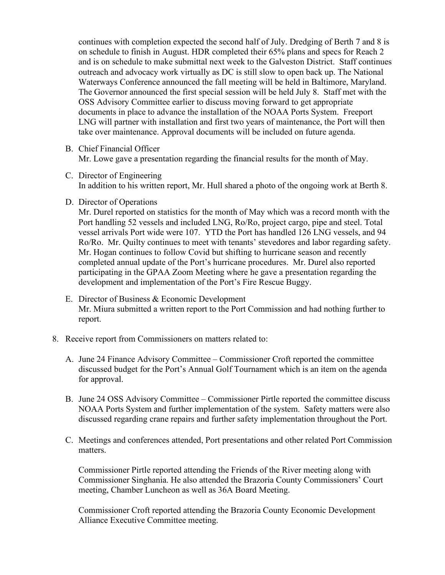continues with completion expected the second half of July. Dredging of Berth 7 and 8 is on schedule to finish in August. HDR completed their 65% plans and specs for Reach 2 and is on schedule to make submittal next week to the Galveston District. Staff continues outreach and advocacy work virtually as DC is still slow to open back up. The National Waterways Conference announced the fall meeting will be held in Baltimore, Maryland. The Governor announced the first special session will be held July 8. Staff met with the OSS Advisory Committee earlier to discuss moving forward to get appropriate documents in place to advance the installation of the NOAA Ports System. Freeport LNG will partner with installation and first two years of maintenance, the Port will then take over maintenance. Approval documents will be included on future agenda.

B. Chief Financial Officer

Mr. Lowe gave a presentation regarding the financial results for the month of May.

- C. Director of Engineering In addition to his written report, Mr. Hull shared a photo of the ongoing work at Berth 8.
- D. Director of Operations

Mr. Durel reported on statistics for the month of May which was a record month with the Port handling 52 vessels and included LNG, Ro/Ro, project cargo, pipe and steel. Total vessel arrivals Port wide were 107. YTD the Port has handled 126 LNG vessels, and 94 Ro/Ro. Mr. Quilty continues to meet with tenants' stevedores and labor regarding safety. Mr. Hogan continues to follow Covid but shifting to hurricane season and recently completed annual update of the Port's hurricane procedures. Mr. Durel also reported participating in the GPAA Zoom Meeting where he gave a presentation regarding the development and implementation of the Port's Fire Rescue Buggy.

- E. Director of Business & Economic Development Mr. Miura submitted a written report to the Port Commission and had nothing further to report.
- 8. Receive report from Commissioners on matters related to:
	- A. June 24 Finance Advisory Committee Commissioner Croft reported the committee discussed budget for the Port's Annual Golf Tournament which is an item on the agenda for approval.
	- B. June 24 OSS Advisory Committee Commissioner Pirtle reported the committee discuss NOAA Ports System and further implementation of the system. Safety matters were also discussed regarding crane repairs and further safety implementation throughout the Port.
	- C. Meetings and conferences attended, Port presentations and other related Port Commission matters.

Commissioner Pirtle reported attending the Friends of the River meeting along with Commissioner Singhania. He also attended the Brazoria County Commissioners' Court meeting, Chamber Luncheon as well as 36A Board Meeting.

Commissioner Croft reported attending the Brazoria County Economic Development Alliance Executive Committee meeting.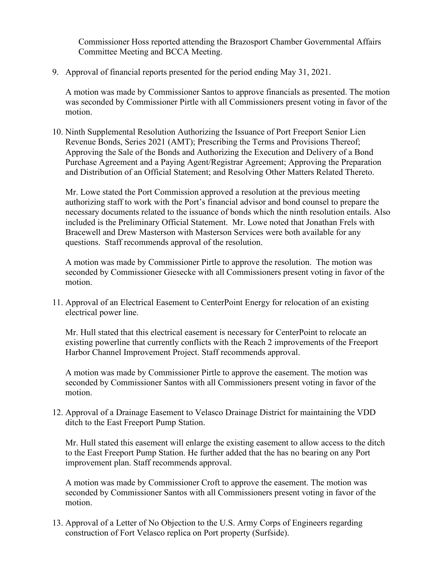Commissioner Hoss reported attending the Brazosport Chamber Governmental Affairs Committee Meeting and BCCA Meeting.

9. Approval of financial reports presented for the period ending May 31, 2021.

A motion was made by Commissioner Santos to approve financials as presented. The motion was seconded by Commissioner Pirtle with all Commissioners present voting in favor of the motion.

10. Ninth Supplemental Resolution Authorizing the Issuance of Port Freeport Senior Lien Revenue Bonds, Series 2021 (AMT); Prescribing the Terms and Provisions Thereof; Approving the Sale of the Bonds and Authorizing the Execution and Delivery of a Bond Purchase Agreement and a Paying Agent/Registrar Agreement; Approving the Preparation and Distribution of an Official Statement; and Resolving Other Matters Related Thereto.

Mr. Lowe stated the Port Commission approved a resolution at the previous meeting authorizing staff to work with the Port's financial advisor and bond counsel to prepare the necessary documents related to the issuance of bonds which the ninth resolution entails. Also included is the Preliminary Official Statement. Mr. Lowe noted that Jonathan Frels with Bracewell and Drew Masterson with Masterson Services were both available for any questions. Staff recommends approval of the resolution.

A motion was made by Commissioner Pirtle to approve the resolution. The motion was seconded by Commissioner Giesecke with all Commissioners present voting in favor of the motion.

11. Approval of an Electrical Easement to CenterPoint Energy for relocation of an existing electrical power line.

Mr. Hull stated that this electrical easement is necessary for CenterPoint to relocate an existing powerline that currently conflicts with the Reach 2 improvements of the Freeport Harbor Channel Improvement Project. Staff recommends approval.

A motion was made by Commissioner Pirtle to approve the easement. The motion was seconded by Commissioner Santos with all Commissioners present voting in favor of the motion.

12. Approval of a Drainage Easement to Velasco Drainage District for maintaining the VDD ditch to the East Freeport Pump Station.

Mr. Hull stated this easement will enlarge the existing easement to allow access to the ditch to the East Freeport Pump Station. He further added that the has no bearing on any Port improvement plan. Staff recommends approval.

A motion was made by Commissioner Croft to approve the easement. The motion was seconded by Commissioner Santos with all Commissioners present voting in favor of the motion.

13. Approval of a Letter of No Objection to the U.S. Army Corps of Engineers regarding construction of Fort Velasco replica on Port property (Surfside).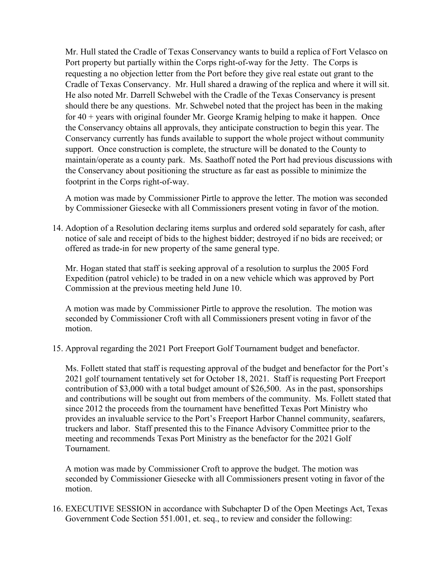Mr. Hull stated the Cradle of Texas Conservancy wants to build a replica of Fort Velasco on Port property but partially within the Corps right-of-way for the Jetty. The Corps is requesting a no objection letter from the Port before they give real estate out grant to the Cradle of Texas Conservancy. Mr. Hull shared a drawing of the replica and where it will sit. He also noted Mr. Darrell Schwebel with the Cradle of the Texas Conservancy is present should there be any questions. Mr. Schwebel noted that the project has been in the making for  $40 + \gamma$  years with original founder Mr. George Kramig helping to make it happen. Once the Conservancy obtains all approvals, they anticipate construction to begin this year. The Conservancy currently has funds available to support the whole project without community support. Once construction is complete, the structure will be donated to the County to maintain/operate as a county park. Ms. Saathoff noted the Port had previous discussions with the Conservancy about positioning the structure as far east as possible to minimize the footprint in the Corps right-of-way.

A motion was made by Commissioner Pirtle to approve the letter. The motion was seconded by Commissioner Giesecke with all Commissioners present voting in favor of the motion.

14. Adoption of a Resolution declaring items surplus and ordered sold separately for cash, after notice of sale and receipt of bids to the highest bidder; destroyed if no bids are received; or offered as trade-in for new property of the same general type.

Mr. Hogan stated that staff is seeking approval of a resolution to surplus the 2005 Ford Expedition (patrol vehicle) to be traded in on a new vehicle which was approved by Port Commission at the previous meeting held June 10.

A motion was made by Commissioner Pirtle to approve the resolution. The motion was seconded by Commissioner Croft with all Commissioners present voting in favor of the motion.

15. Approval regarding the 2021 Port Freeport Golf Tournament budget and benefactor.

Ms. Follett stated that staff is requesting approval of the budget and benefactor for the Port's 2021 golf tournament tentatively set for October 18, 2021. Staff is requesting Port Freeport contribution of \$3,000 with a total budget amount of \$26,500. As in the past, sponsorships and contributions will be sought out from members of the community. Ms. Follett stated that since 2012 the proceeds from the tournament have benefitted Texas Port Ministry who provides an invaluable service to the Port's Freeport Harbor Channel community, seafarers, truckers and labor. Staff presented this to the Finance Advisory Committee prior to the meeting and recommends Texas Port Ministry as the benefactor for the 2021 Golf Tournament.

A motion was made by Commissioner Croft to approve the budget. The motion was seconded by Commissioner Giesecke with all Commissioners present voting in favor of the motion.

16. EXECUTIVE SESSION in accordance with Subchapter D of the Open Meetings Act, Texas Government Code Section 551.001, et. seq., to review and consider the following: